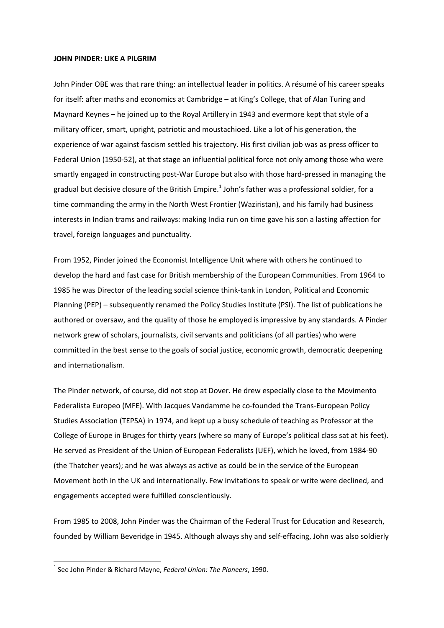## **JOHN PINDER: LIKE A PILGRIM**

John Pinder OBE was that rare thing: an intellectual leader in politics. A résumé of his career speaks for itself: after maths and economics at Cambridge – at King's College, that of Alan Turing and Maynard Keynes – he joined up to the Royal Artillery in 1943 and evermore kept that style of a military officer, smart, upright, patriotic and moustachioed. Like a lot of his generation, the experience of war against fascism settled his trajectory. His first civilian job was as press officer to Federal Union (1950‐52), at that stage an influential political force not only among those who were smartly engaged in constructing post-War Europe but also with those hard-pressed in managing the gradual but decisive closure of the British Empire.<sup>1</sup> John's father was a professional soldier, for a time commanding the army in the North West Frontier (Waziristan), and his family had business interests in Indian trams and railways: making India run on time gave his son a lasting affection for travel, foreign languages and punctuality.

From 1952, Pinder joined the Economist Intelligence Unit where with others he continued to develop the hard and fast case for British membership of the European Communities. From 1964 to 1985 he was Director of the leading social science think‐tank in London, Political and Economic Planning (PEP) – subsequently renamed the Policy Studies Institute (PSI). The list of publications he authored or oversaw, and the quality of those he employed is impressive by any standards. A Pinder network grew of scholars, journalists, civil servants and politicians (of all parties) who were committed in the best sense to the goals of social justice, economic growth, democratic deepening and internationalism.

The Pinder network, of course, did not stop at Dover. He drew especially close to the Movimento Federalista Europeo (MFE). With Jacques Vandamme he co-founded the Trans-European Policy Studies Association (TEPSA) in 1974, and kept up a busy schedule of teaching as Professor at the College of Europe in Bruges for thirty years (where so many of Europe's political class sat at his feet). He served as President of the Union of European Federalists (UEF), which he loved, from 1984‐90 (the Thatcher years); and he was always as active as could be in the service of the European Movement both in the UK and internationally. Few invitations to speak or write were declined, and engagements accepted were fulfilled conscientiously.

From 1985 to 2008, John Pinder was the Chairman of the Federal Trust for Education and Research, founded by William Beveridge in 1945. Although always shy and self‐effacing, John was also soldierly

<sup>1</sup> See John Pinder & Richard Mayne, *Federal Union: The Pioneers*, 1990.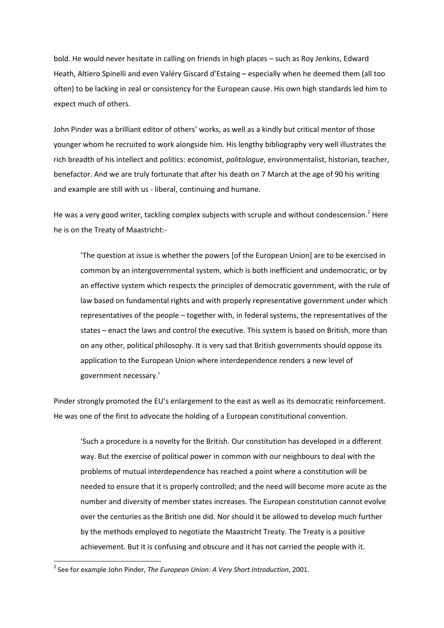bold. He would never hesitate in calling on friends in high places – such as Roy Jenkins, Edward Heath, Altiero Spinelli and even Valéry Giscard d'Estaing – especially when he deemed them (all too often) to be lacking in zeal or consistency for the European cause. His own high standards led him to expect much of others.

John Pinder was a brilliant editor of others' works, as well as a kindly but critical mentor of those younger whom he recruited to work alongside him. His lengthy bibliography very well illustrates the rich breadth of his intellect and politics: economist, *politologue*, environmentalist, historian, teacher, benefactor. And we are truly fortunate that after his death on 7 March at the age of 90 his writing and example are still with us ‐ liberal, continuing and humane.

He was a very good writer, tackling complex subjects with scruple and without condescension.<sup>2</sup> Here he is on the Treaty of Maastricht:‐

'The question at issue is whether the powers [of the European Union] are to be exercised in common by an intergovernmental system, which is both inefficient and undemocratic, or by an effective system which respects the principles of democratic government, with the rule of law based on fundamental rights and with properly representative government under which representatives of the people – together with, in federal systems, the representatives of the states – enact the laws and control the executive. This system is based on British, more than on any other, political philosophy. It is very sad that British governments should oppose its application to the European Union where interdependence renders a new level of government necessary.'

Pinder strongly promoted the EU's enlargement to the east as well as its democratic reinforcement. He was one of the first to advocate the holding of a European constitutional convention.

'Such a procedure is a novelty for the British. Our constitution has developed in a different way. But the exercise of political power in common with our neighbours to deal with the problems of mutual interdependence has reached a point where a constitution will be needed to ensure that it is properly controlled; and the need will become more acute as the number and diversity of member states increases. The European constitution cannot evolve over the centuries as the British one did. Nor should it be allowed to develop much further by the methods employed to negotiate the Maastricht Treaty. The Treaty is a positive achievement. But it is confusing and obscure and it has not carried the people with it.

<sup>2</sup> See for example John Pinder, *The European Union: A Very Short Introduction*, 2001.